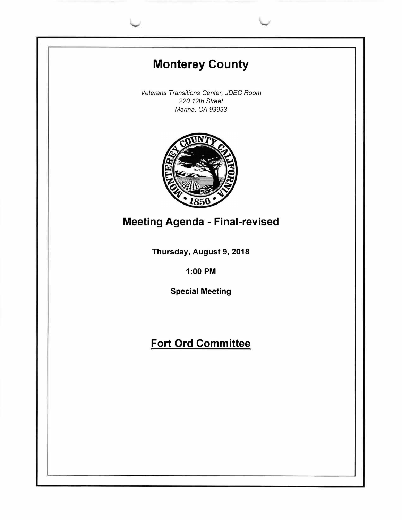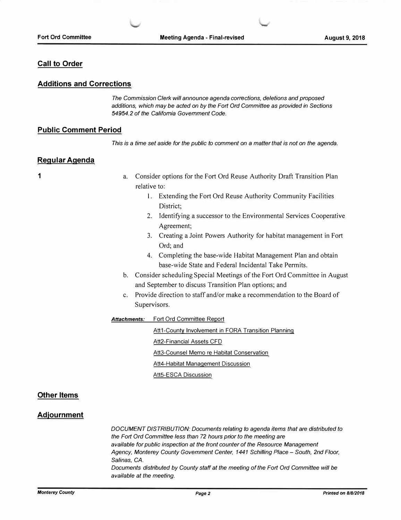#### **Call to Order**

#### **Additions and Corrections**

*The Commission Clerk will announce agenda corrections, deletions and proposed additions, which may be acted on by the Fort Ord Committee as provided in Sections 54954.2 of the California Government Code.* 

#### **Public Comment Period**

*This is a time set aside for the public to comment on* a *matter that is not on the agenda.* 

#### **Regular Agenda**

**1** 

- a. Consider options for the Fort Ord Reuse Authority Draft Transition Plan relative to:
	- I. Extending the Fort Ord Reuse Authority Community Facilities District;
	- 2. Identifying a successor to the Environmental Services Cooperative Agreement;
	- 3. Creating a Joint Powers Authority for habitat management in Fort Ord; and
	- 4. Completing the base-wide Habitat Management Plan and obtain base-wide State and Federal Incidental Take Permits.
- b. Consider scheduling Special Meetings of the Fort Ord Committee in August and September to discuss Transition Plan options; and
- c. Provide direction to staff and/or make a recommendation to the Board of Supervisors.

#### *Attachments:* Fort Ord Committee Report

Att1-County Involvement in FORA Transition Planning Att2-Financial Assets CFO Att3-Counsel Memo re Habitat Conservation Att4-Habitat Management Discussion Att5-ESCA Discussion

#### **Other Items**

#### **Adjournment**

*DOCUMENT DISTRIBUTION: Documents relating to agenda items that are distributed to the Fort Ord Committee less than 72 hours prior to the meeting are available for public inspection at the front counter of the Resource Management Agency, Monterey County Government Center, 1441 Schilling Place - South, 2nd Floor, Salinas, CA. Documents distributed by County staff at the meeting of the Fort Ord Committee will be available at the meeting.*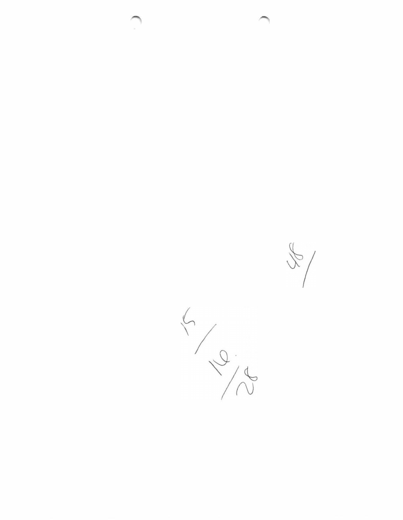

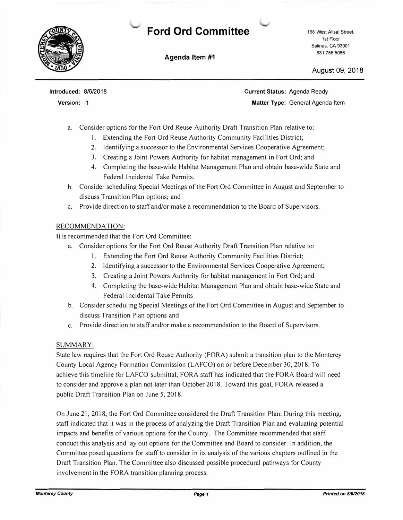

## **Ford Ord Committee**

**Agenda Item #1** 

168 West Alisal Street, 1st Floor Salinas, CA 93901 831.755.5066

August 09, 2018

**Introduced:** 8/6/2018

**Version:** 

**Current Status:** Agenda Ready **Matter Type:** General Agenda Item

- a. Consider options for the Fort Ord Reuse Authority Draft Transition Plan relative to:
	- I. Extending the Fort Ord Reuse Authority Community Facilities District;
	- 2. Identifying a successor to the Environmental Services Cooperative Agreement;
	- 3. Creating a Joint Powers Authority for habitat management in Fort Ord; and
	- 4. Completing the base-wide Habitat Management Plan and obtain base-wide State and Federal Incidental Take Permits.
- b. Consider scheduling Special Meetings of the Fort Ord Committee in August and September to discuss Transition Plan options; and
- c. Provide direction to staff and/or make a recommendation to the Board of Supervisors.

#### RECOMMENDATION:

It is recommended that the Fort Ord Committee:

- a. Consider options for the Fort Ord Reuse Authority Draft Transition Plan relative to:
	- I. Extending the Fort Ord Reuse Authority Community Facilities District;
	- 2. Identifying a successor to the Environmental Services Cooperative Agreement;
	- 3. Creating a Joint Powers Authority for habitat management in Fort Ord; and
	- 4. Completing the base-wide Habitat Management Plan and obtain base-wide State and Federal Incidental Take Permits
- b. Consider scheduling Special Meetings of the Fort Ord Committee in August and September to discuss Transition Plan options and
- c. Provide direction to staff and/or make a recommendation to the Board of Supervisors.

#### SUMMARY:

State law requires that the Fort Ord Reuse Authority (FORA) submit a transition plan to the Monterey County Local Agency Formation Commission (LAFCO) on or before December 30, 2018. To achieve this timeline for LAFCO submittal, FORA staff has indicated that the FORA Board will need to consider and approve a plan not later than October 2018. Toward this goal, FORA released a public Draft Transition Plan on June 5, 2018.

On June 21, 2018, the Fort Ord Committee considered the Draft Transition Plan. During this meeting, staff indicated that it was in the process of analyzing the Draft Transition Plan and evaluating potential impacts and benefits of various options for the County. The Committee recommended that staff conduct this analysis and lay out options for the Committee and Board to consider. In addition, the Committee posed questions for staff to consider in its analysis of the various chapters outlined in the Draft Transition Plan. The Committee also discussed possible procedural pathways for County involvement in the FORA transition planning process.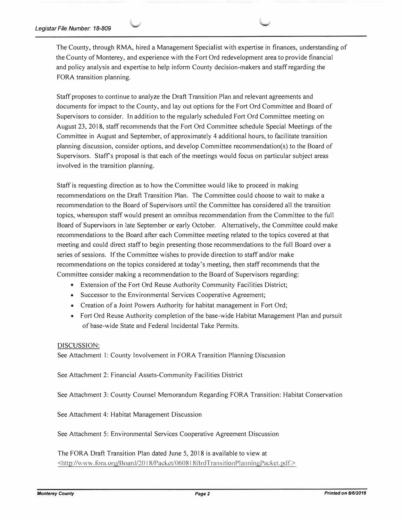The County, through RMA, hired a Management Specialist with expertise in finances, understanding of the County of Monterey, and experience with the Fort Ord redevelopment area to provide financial and policy analysis and expertise to help inform County decision-makers and staff regarding the FORA transition planning.

Staff proposes to continue to analyze the Draft Transition Plan and relevant agreements and documents for impact to the County, and lay out options for the Fort Ord Committee and Board of Supervisors to consider. In addition to the regularly scheduled Fort Ord Committee meeting on August 23, 2018, staff recommends that the Fort Ord Committee schedule Special Meetings of the Committee in August and September, of approximately 4 additional hours, to facilitate transition planning discussion, consider options, and develop Committee recommendation(s) to the Board of Supervisors. Staff's proposal is that each of the meetings would focus on particular subject areas involved in the transition planning.

Staffis requesting direction as to how the Committee would like to proceed in making recommendations on the Draft Transition Plan. The Committee could choose to wait to make a recommendation to the Board of Supervisors until the Committee has considered all the transition topics, whereupon staff would present an omnibus recommendation from the Committee to the full Board of Supervisors in late September or early October. Alternatively, the Committee could make recommendations to the Board after each Committee meeting related to the topics covered at that meeting and could direct staff to begin presenting those recommendations to the full Board over a series of sessions. If the Committee wishes to provide direction to staff and/or make recommendations on the topics considered at today's meeting, then staff recommends that the Committee consider making a recommendation to the Board of Supervisors regarding:

- Extension of the Fort Ord Reuse Authority Community Facilities District;
- Successor to the Environmental Services Cooperative Agreement;
- Creation of a Joint Powers Authority for habitat management in Fort Ord;
- Fort Ord Reuse Authority completion of the base-wide Habitat Management Plan and pursuit of base-wide State and Federal Incidental Take Permits.

#### DISCUSSION:

See Attachment I: County Involvement in FORA Transition Planning Discussion

See Attachment 2: Financial Assets-Community Facilities District

See Attachment 3: County Counsel Memorandum Regarding FORA Transition: Habitat Conservation

See Attachment 4: Habitat Management Discussion

See Attachment 5: Environmental Services Cooperative Agreement Discussion

The FORA Draft Transition Plan dated June 5, 2018 is available to view at <http://www.fora.org/Board/2018/Packet/060818BrdTransitionPlanningPacket.pdf.>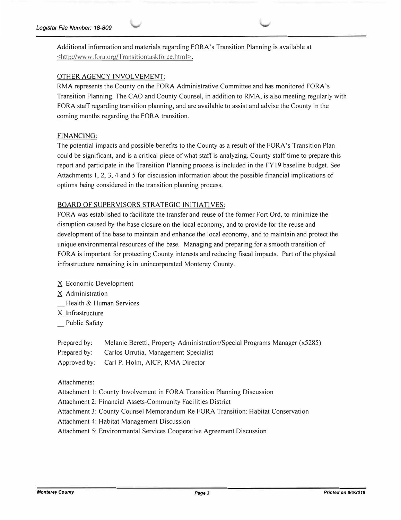Additional infonnation and materials regarding FORA's Transition Planning is available at <http://www.fora.org/Transitiontaskforce.html>.

#### OTHER AGENCY INVOLVEMENT:

RMA represents the County on the FORA Administrative Committee and has monitored FORA's Transition Planning. The CAO and County Counsel, in addition to RMA, is also meeting regularly with FORA staff regarding transition planning, and are available to assist and advise the County in the coming months regarding the FORA transition.

#### FINANCING:

The potential impacts and possible benefits to the County as a result of the FORA's Transition Plan could be significant, and is a critical piece of what staff is analyzing. County staff time to prepare this report and participate in the Transition Planning process is included in the FY 19 baseline budget. See Attachments 1, 2, 3, 4 and 5 for discussion information about the possible financial implications of options being considered in the transition planning process.

#### BOARD OF SUPERVISORS STRATEGIC INITIATIVES:

FORA was established to facilitate the transfer and reuse of the former Fort Ord, to minimize the disruption caused by the base closure on the local economy, and to provide for the reuse and development of the base to maintain and enhance the local economy, and to maintain and protect the unique environmental resources of the base. Managing and preparing for a smooth transition of FORA is important for protecting County interests and reducing fiscal impacts. Part of the physical infrastructure remaining is in unincorporated Monterey County.

- X Economic Development
- X Administration
- Health & Human Services
- X. Infrastructure
- Public Safety

| Prepared by: Melanie Beretti, Property Administration/Special Programs Manager (x5285) |
|----------------------------------------------------------------------------------------|
| Prepared by: Carlos Urrutia, Management Specialist                                     |
| Approved by: Carl P. Holm, AICP, RMA Director                                          |

#### Attachments:

Attachment I: County Involvement in FORA Transition Planning Discussion

Attachment 2: Financial Assets-Community Facilities District

Attachment 3: County Counsel Memorandum Re FORA Transition: Habitat Conservation

Attachment 4: Habitat Management Discussion

Attachment 5: Environmental Services Cooperative Agreement Discussion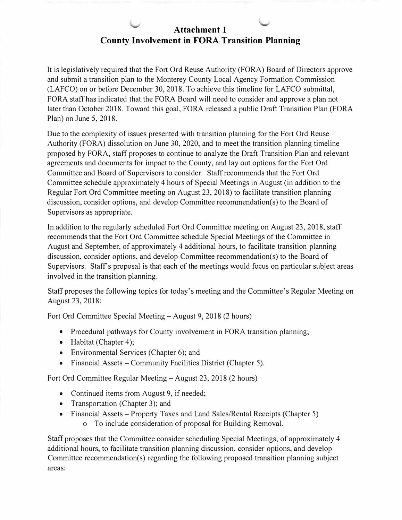## **Attachment 1 County Involvement in FORA Transition Planning**

It is legislatively required that the Fort Ord Reuse Authority (FORA) Board of Directors approve and submit a transition plan to the Monterey County Local Agency Formation Commission (LAFCO) on or before December 30, 2018. To achieve this timeline for LAFCO submittal, FORA staff has indicated that the FORA Board will need to consider and approve a plan not later than October 2018. Toward this goal, FORA released a public Draft Transition Plan (FORA Plan) on June 5, 2018.

Due to the complexity of issues presented with transition planning for the Fort Ord Reuse Authority (FORA) dissolution on June 30, 2020, and to meet the transition planning timeline proposed by FORA, staff proposes to continue to analyze the Draft Transition Plan and relevant agreements and documents for impact to the County, and lay out options for the Fort Ord Committee and Board of Supervisors to consider. Staff recommends that the Fort Ord Committee schedule approximately 4 hours of Special Meetings in August (in addition to the Regular Fort Ord Committee meeting on August 23, 2018) to facilitate transition planning discussion, consider options, and develop Committee recommendation(s) to the Board of Supervisors as appropriate.

In addition to the regularly scheduled Fort Ord Committee meeting on August 23, 2018, staff recommends that the Fort Ord Committee schedule Special Meetings of the Committee in August and September, of approximately 4 additional hours, to facilitate transition planning discussion, consider options, and develop Committee recommendation(s) to the Board of Supervisors. Staff's proposal is that each of the meetings would focus on particular subject areas involved in the transition planning.

Staff proposes the following topics for today's meeting and the Committee's Regular Meeting on August 23, 2018:

Fort Ord Committee Special Meeting-August 9, 2018 (2 hours)

- Procedural pathways for County involvement in FORA transition planning;
- Habitat (Chapter 4);
- Environmental Services (Chapter 6); and
- Financial Assets Community Facilities District (Chapter 5).

Fort Ord Committee Regular Meeting-August 23, 2018 (2 hours)

- Continued items from August 9, if needed;
- Transportation (Chapter 3); and
- Financial Assets Property Taxes and Land Sales/Rental Receipts (Chapter 5) o To include consideration of proposal for Building Removal.
- Staff proposes that the Committee consider scheduling Special Meetings, of approximately 4 additional hours, to facilitate transition planning discussion, consider options, and develop Committee recommendation(s) regarding the following proposed transition planning subject areas: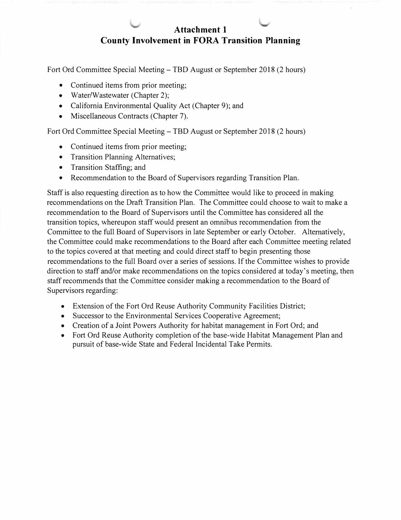## **Attachment 1 County Involvement in FORA Transition Planning**

Fort Ord Committee Special Meeting-TBD August or September 2018 (2 hours)

- Continued items from prior meeting:
- Water/Wastewater (Chapter 2);
- California Environmental Quality Act (Chapter 9); and
- Miscellaneous Contracts (Chapter 7).

Fort Ord Committee Special Meeting-TBD August or September 2018 (2 hours)

- Continued items from prior meeting;
- Transition Planning Alternatives;
- Transition Staffing; and
- Recommendation to the Board of Supervisors regarding Transition Plan.

Staff is also requesting direction as to how the Committee would like to proceed in making recommendations on the Draft Transition Plan. The Committee could choose to wait to make a recommendation to the Board of Supervisors until the Committee has considered all the transition topics, whereupon staff would present an omnibus recommendation from the Committee to the full Board of Supervisors in late September or early October. Alternatively, the Committee could make recommendations to the Board after each Committee meeting related to the topics covered at that meeting and could direct staff to begin presenting those recommendations to the full Board over a series of sessions. If the Committee wishes to provide direction to staff and/or make recommendations on the topics considered at today's meeting, then staff recommends that the Committee consider making a recommendation to the Board of Supervisors regarding:

- Extension of the Fort Ord Reuse Authority Community Facilities District;
- Successor to the Environmental Services Cooperative Agreement:
- Creation of a Joint Powers Authority for habitat management in Fort Ord; and
- Fort Ord Reuse Authority completion of the base-wide Habitat Management Plan and pursuit of base-wide State and Federal Incidental Take Permits.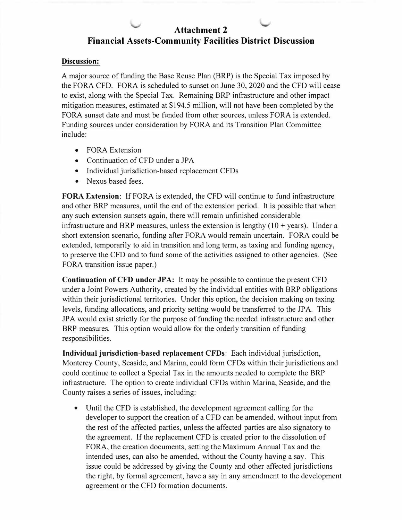## **Attachment 2 Financial Assets-Community Facilities District Discussion**

#### **Discussion:**

A major source of funding the Base Reuse Plan (BRP) is the Special Tax imposed by the FORA CFD. FORA is scheduled to sunset on June 30, 2020 and the CFO will cease to exist, along with the Special Tax. Remaining BRP infrastructure and other impact mitigation measures, estimated at \$194.5 million, will not have been completed by the FORA sunset date and must be funded from other sources, unless FORA is extended. Funding sources under consideration by FORA and its Transition Plan Committee include:

- FORA Extension
- Continuation of CFD under a JPA
- Individual jurisdiction-based replacement CFDs
- Nexus based fees.

**FORA Extension:** If FORA is extended, the CFD will continue to fund infrastructure and other BRP measures, until the end of the extension period. It is possible that when any such extension sunsets again, there will remain unfinished considerable infrastructure and BRP measures, unless the extension is lengthy  $(10 + \text{years})$ . Under a short extension scenario, funding after FORA would remain uncertain. FORA could be extended, temporarily to aid in transition and long term, as taxing and funding agency, to preserve the CFD and to fund some of the activities assigned to other agencies. (See FORA transition issue paper.)

**Continuation of CFD under JPA:** It may be possible to continue the present CFD under a Joint Powers Authority, created by the individual entities with BRP obligations within their jurisdictional territories. Under this option, the decision making on taxing levels, funding allocations, and priority setting would be transferred to the JPA. This JP A would exist strictly for the purpose of funding the needed infrastructure and other BRP measures. This option would allow for the orderly transition of funding responsibilities.

**Individual jurisdiction-based replacement CFDs:** Each individual jurisdiction, Monterey County, Seaside, and Marina, could form CFDs within their jurisdictions and could continue to collect a Special Tax in the amounts needed to complete the BRP infrastructure. The option to create individual CFOs within Marina, Seaside, and the County raises a series of issues, including:

• Until the CFD is established, the development agreement calling for the developer to support the creation of a CFO can be amended, without input from the rest of the affected parties, unless the affected parties are also signatory to the agreement. If the replacement CFO is created prior to the dissolution of FORA, the creation documents, setting the Maximum Annual Tax and the intended uses, can also be amended, without the County having a say. This issue could be addressed by giving the County and other affected jurisdictions the right, by formal agreement, have a say in any amendment to the development agreement or the CFO formation documents.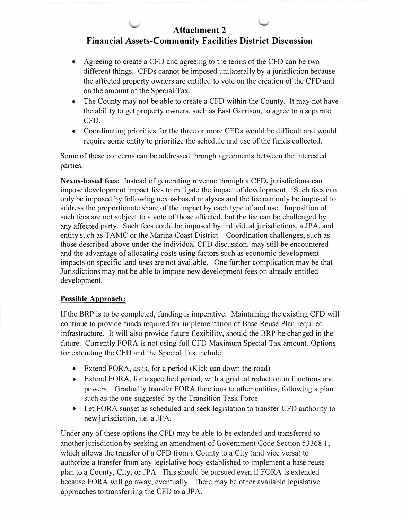## **Attachment 2**

## **Financial Assets-Community Facilities District Discussion**

- Agreeing to create a CFD and agreeing to the terms of the CFD can be two different things. CFDs cannot be imposed unilaterally by a jurisdiction because the affected property owners are entitled to vote on the creation of the CFD and on the amount of the Special Tax.
- The County may not be able to create a CFD within the County. It may not have the ability to get property owners, such as East Garrison, to agree to a separate CFO.
- Coordinating priorities for the three or more CFOs would be difficult and would require some entity to prioritize the schedule and use of the funds collected.

Some of these concerns can be addressed through agreements between the interested parties.

**Nexus-based fees:** Instead of generating revenue through a CFD, jurisdictions can impose development impact fees to mitigate the impact of development. Such fees can only be imposed by following nexus-based analyses and the fee can only be imposed to address the proportionate share of the impact by each type of and use. Imposition of such fees are not subject to a vote of those affected, but the fee can be challenged by any affected party. Such fees could be imposed by individual jurisdictions, a JPA, and entity such as TAMC or the Marina Coast District. Coordination challenges, such as those described above under the individual CFO discussion. may still be encountered and the advantage of allocating costs using factors such as economic development impacts on specific land uses are not available. One further complication may be that Jurisdictions may not be able to impose new development fees on already entitled development.

#### **Possible Approach:**

If the BRP is to be completed, funding is imperative. Maintaining the existing CFD will continue to provide funds required for implementation of Base Reuse Plan required infrastructure. It will also provide future flexibility, should the BRP be changed in the future. Currently FORA is not using full CFO Maximum Special Tax amount. Options for extending the CFD and the Special Tax include:

- Extend FORA, as is, for a period (Kick can down the road)
- Extend FORA, for a specified period, with a gradual reduction in functions and powers. Gradually transfer FORA functions to other entities, following a plan such as the one suggested by the Transition Task Force.
- Let FORA sunset as scheduled and seek legislation to transfer CFO authority to new jurisdiction, i.e. a JPA.

Under any of these options the CFO may be able to be extended and transferred to another jurisdiction by seeking an amendment of Government Code Section 53368.1, which allows the transfer of a CFO from a County to a City (and vice versa) to authorize a transfer from any legislative body established to implement a base reuse plan to a County, City, or JPA. This should be pursued even if FORA is extended because FORA will go away, eventually. There may be other available legislative approaches to transferring the CFD to a JPA.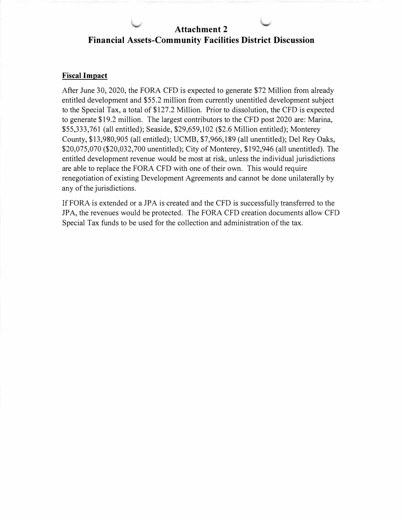## **Attachment 2 Financial Assets-Community Facilities District Discussion**

#### **Fiscal Impact**

After June 30, 2020, the FORA CFD is expected to generate \$72 Million from already entitled development and \$55.2 million from currently unentitled development subject to the Special Tax, a total of \$127.2 Million. Prior to dissolution, the CFD is expected to generate \$19 .2 million. The largest contributors to the CFD post 2020 are: Marina, \$55,333,761 (all entitled); Seaside, \$29,659,102 (\$2.6 Million entitled); Monterey County, \$13,980,905 (all entitled); UCMB, \$7,966,189 (all unentitled); Del Rey Oaks, \$20,075,070 (\$20,032,700 unentitled); City of Monterey, \$192,946 (all unentitled). The entitled development revenue would be most at risk, unless the individual jurisdictions are able to replace the FORA CFD with one of their own. This would require renegotiation of existing Development Agreements and cannot be done unilaterally by any of the jurisdictions.

If FORA is extended or a JPA is created and the CFD is successfully transferred to the JPA, the revenues would be protected. The FORA CFD creation documents allow CFO Special Tax funds to be used for the collection and administration of the tax.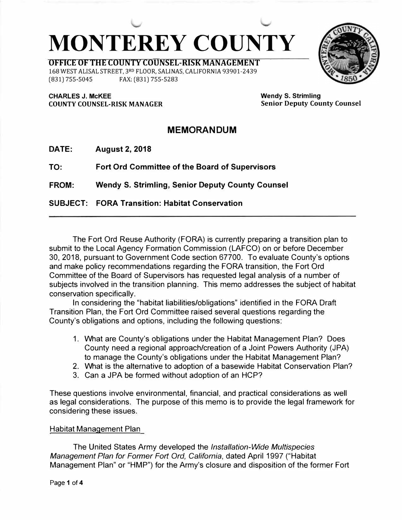# **MONTEREY COUNTY**

**OFFICE OF THE COUNTY COUNSEL-RISK MANAGEMENT**  168 WEST ALISAL STREET, 3RD FLOOR, SALINAS, CALIFORNIA 93901-2439 (831) 755-5045 FAX: (831) 755-5283

**CHARLES J. McKEE COUNTY COUNSEL-RISK MANAGER**  **Wendy S. Strimling Senior Deputy County Counsel** 

## **MEMORANDUM**

**DATE: August 2, 2018** 

**TO: Fort Ord Committee of the Board of Supervisors** 

**FROM: Wendy S. Strimling, Senior Deputy County Counsel** 

**SUBJECT: FORA Transition: Habitat Conservation** 

The Fort Ord Reuse Authority (FORA) is currently preparing a transition plan to submit to the Local Agency Formation Commission (LAFCO) on or before December 30, 2018, pursuant to Government Code section 67700. To evaluate County's options and make policy recommendations regarding the FORA transition, the Fort Ord Committee of the Board of Supervisors has requested legal analysis of a number of subjects involved in the transition planning. This memo addresses the subject of habitat conservation specifically.

In considering the "habitat liabilities/obligations" identified in the FORA Draft Transition Plan, the Fort Ord Committee raised several questions regarding the County's obligations and options, including the following questions:

- 1. What are County's obligations under the Habitat Management Plan? Does County need a regional approach/creation of a Joint Powers Authority (JPA) to manage the County's obligations under the Habitat Management Plan?
- 2. What is the alternative to adoption of a basewide Habitat Conservation Plan?
- 3. Can a JPA be formed without adoption of an HCP?

These questions involve environmental, financial, and practical considerations as well as legal considerations. The purpose of this memo is to provide the legal framework for considering these issues.

### Habitat Management Plan

The United States Army developed the *Installation-Wide Multispecies Management Plan for Former Fort Ord, California,* dated April 1997 ("Habitat Management Plan" or "HMP") for the Army's closure and disposition of the former Fort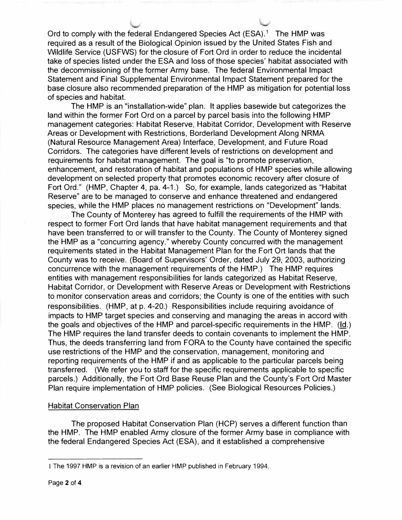Ord to comply with the federal Endangered Species Act  $(ESA)^1$  The HMP was required as a result of the Biological Opinion issued by the United States Fish and Wildlife Service (USFWS) for the closure of Fort Ord in order to reduce the incidental take of species listed under the ESA and loss of those species' habitat associated with the decommissioning of the former Army base. The federal Environmental Impact Statement and Final Supplemental Environmental Impact Statement prepared for the base closure also recommended preparation of the HMP as mitigation for potential loss of species and habitat.

The HMP is an "installation-wide" plan. It applies basewide but categorizes the land within the former Fort Ord on a parcel by parcel basis into the following HMP management categories: Habitat Reserve, Habitat Corridor, Development with Reserve Areas or Development with Restrictions, Borderland Development Along NRMA (Natural Resource Management Area) Interface, Development, and Future Road Corridors. The categories have different levels of restrictions on development and requirements for habitat management. The goal is "to promote preservation, enhancement, and restoration of habitat and populations of HMP species while allowing development on selected property that promotes economic recovery after closure of Fort Ord." (HMP, Chapter 4, pa. 4-1.) So, for example, lands categorized as "Habitat Reserve" are to be managed to conserve and enhance threatened and endangered species, while the HMP places no management restrictions on "Development" lands.

The County of Monterey has agreed to fulfill the requirements of the HMP with respect to former Fort Ord lands that have habitat management requirements and that have been transferred to or will transfer to the County. The County of Monterey signed the HMP as a "concurring agency," whereby County concurred with the management requirements stated in the Habitat Management Plan for the Fort Ort lands that the County was to receive. (Board of Supervisors' Order, dated July 29, 2003, authorizing concurrence with the management requirements of the HMP.) The HMP requires entities with management responsibilities for lands categorized as Habitat Reserve, Habitat Corridor, or Development with Reserve Areas or Development with Restrictions to monitor conservation areas and corridors; the County is one of the entities with such responsibilities. (HMP, at p. 4-20.) Responsibilities include requiring avoidance of impacts to HMP target species and conserving and managing the areas in accord with the goals and objectives of the HMP and parcel-specific requirements in the HMP. (Id.) The HMP requires the land transfer deeds to contain covenants to implement the HMP. Thus, the deeds transferring land from FORA to the County have contained the specific use restrictions of the HMP and the conservation, management, monitoring and reporting requirements of the HMP if and as applicable to the particular parcels being transferred. (We refer you to staff for the specific requirements applicable to specific parcels.) Additionally, the Fort Ord Base Reuse Plan and the County's Fort Ord Master Plan require implementation of HMP policies. (See Biological Resources Policies.)

#### Habitat Conservation Plan

The proposed Habitat Conservation Plan (HCP) serves a different function than the HMP. The HMP enabled Army closure of the former Army base in compliance with the federal Endangered Species Act (ESA), and it established a comprehensive

I The 1997 HMP is a revision of an earlier HMP published in February 1994.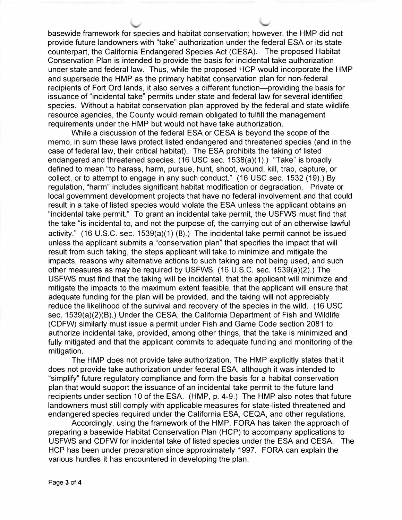basewide framework for species and habitat conservation; however, the HMP did not provide future landowners with "take" authorization under the federal ESA or its state counterpart, the California Endangered Species Act (CESA). The proposed Habitat Conservation Plan is intended to provide the basis for incidental take authorization under state and federal law. Thus, while the proposed HCP would incorporate the HMP and supersede the HMP as the primary habitat conservation plan for non-federal recipients of Fort Ord lands, it also serves a different function—providing the basis for issuance of "incidental take" permits under state and federal law for several identified species. Without a habitat conservation plan approved by the federal and state wildlife resource agencies, the County would remain obligated to fulfill the management requirements under the HMP but would not have take authorization.

While a discussion of the federal ESA or CESA is beyond the scope of the memo, in sum these laws protect listed endangered and threatened species (and in the case of federal law, their critical habitat). The ESA prohibits the taking of listed endangered and threatened species. (16 USC sec. 1538(a)(1 ).) "Take" is broadly defined to mean "to harass, harm, pursue, hunt, shoot, wound, kill, trap, capture, or collect, or to attempt to engage in any such conduct." (16 USC sec. 1532 (19).) By regulation, "harm" includes significant habitat modification or degradation. Private or local government development projects that have no federal involvement and that could result in a take of listed species would violate the ESA unless the applicant obtains an "incidental take permit." To grant an incidental take permit, the USFWS must find that the take "is incidental to, and not the purpose of, the carrying out of an otherwise lawful activity." (16 U.S.C. sec. 1539(a)(1) (B).) The incidental take permit cannot be issued unless the applicant submits a "conservation plan" that specifies the impact that will result from such taking, the steps applicant will take to minimize and mitigate the impacts, reasons why alternative actions to such taking are not being used, and such other measures as may be required by USFWS. (16 U.S.C. sec. 1539(a)(2).) The USFWS must find that the taking will be incidental, that the applicant will minimize and mitigate the impacts to the maximum extent feasible, that the applicant will ensure that adequate funding for the plan will be provided, and the taking will not appreciably reduce the likelihood of the survival and recovery of the species in the wild. (16 USC sec. 1539(a)(2)(B).) Under the CESA, the California Department of Fish and Wildlife (CDFW) similarly must issue a permit under Fish and Game Code section 2081 to authorize incidental take, provided, among other things, that the take is minimized and fully mitigated and that the applicant commits to adequate funding and monitoring of the mitigation.

The HMP does not provide take authorization. The HMP explicitly states that it does not provide take authorization under federal ESA, although it was intended to "simplify" future regulatory compliance and form the basis for a habitat conservation plan that would support the issuance of an incidental take permit to the future land recipients under section 10 of the ESA. (HMP, p. 4-9.) The HMP also notes that future landowners must still comply with applicable measures for state-listed threatened and endangered species required under the California ESA, CEQA, and other regulations.

Accordingly, using the framework of the HMP, FORA has taken the approach of preparing a basewide Habitat Conservation Plan (HCP) to accompany applications to USFWS and CDFW for incidental take of listed species under the ESA and CESA. The HCP has been under preparation since approximately 1997. FORA can explain the various hurdles it has encountered in developing the plan.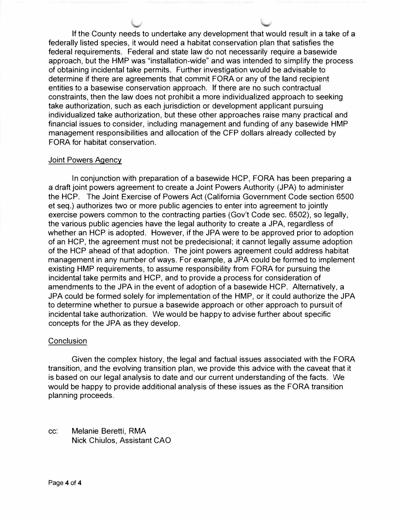If the County needs to undertake any development that would result in a take of a federally listed species, it would need a habitat conservation plan that satisfies the federal requirements. Federal and state law do not necessarily require a basewide approach, but the HMP was "installation-wide" and was intended to simplify the process of obtaining incidental take permits. Further investigation would be advisable to determine if there are agreements that commit FORA or any of the land recipient entities to a basewise conservation approach. If there are no such contractual constraints, then the law does not prohibit a more individualized approach to seeking take authorization, such as each jurisdiction or development applicant pursuing individualized take authorization, but these other approaches raise many practical and financial issues to consider, including management and funding of any basewide HMP management responsibilities and allocation of the CFP dollars already collected by FORA for habitat conservation.

#### Joint Powers Agency

In conjunction with preparation of a basewide HCP, FORA has been preparing a a draft joint powers agreement to create a Joint Powers Authority (JPA) to administer the HCP. The Joint Exercise of Powers Act (California Government Code section 6500 et seq.) authorizes two or more public agencies to enter into agreement to jointly exercise powers common to the contracting parties (Gov't Code sec. 6502), so legally, the various public agencies have the legal authority to create a JPA, regardless of whether an HCP is adopted. However, if the JPA were to be approved prior to adoption of an HCP, the agreement must not be predecisional; it cannot legally assume adoption of the HCP ahead of that adoption. The joint powers agreement could address habitat management in any number of ways. For example, a JPA could be formed to implement existing HMP requirements, to assume responsibility from FORA for pursuing the incidental take permits and HCP, and to provide a process for consideration of amendments to the JPA in the event of adoption of a basewide HCP. Alternatively, a JPA could be formed solely for implementation of the HMP, or it could authorize the JPA to determine whether to pursue a basewide approach or other approach to pursuit of incidental take authorization. We would be happy to advise further about specific concepts for the JPA as they develop.

#### **Conclusion**

Given the complex history, the legal and factual issues associated with the FORA transition, and the evolving transition plan, we provide this advice with the caveat that it is based on our legal analysis to date and our current understanding of the facts. We would be happy to provide additional analysis of these issues as the FORA transition planning proceeds.

cc: Melanie Beretti, RMA Nick Chiulos, Assistant CAO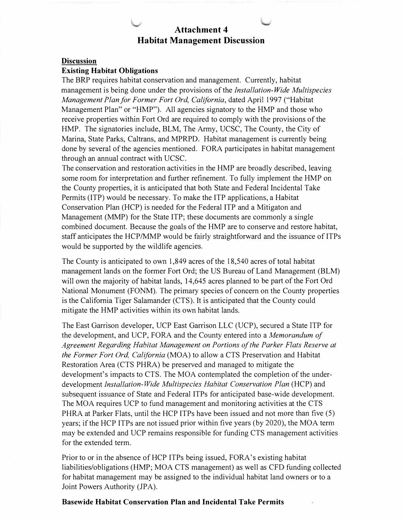## **Attachment 4 Habitat Management Discussion**

#### **Discussion**

#### **Existing Habitat Obligations**

The BRP requires habitat conservation and management. Currently, habitat management is being done under the provisions of the *Installation-Wide Multispecies Management Plan for Former Fort Ord, California,* dated April 1997 ("Habitat Management Plan" or "HMP"). All agencies signatory to the HMP and those who receive properties within Fort Ord are required to comply with the provisions of the HMP. The signatories include, BLM, The Army, UCSC, The County, the City of Marina, State Parks, Caltrans, and MPRPD. Habitat management is currently being done by several of the agencies mentioned. FORA participates in habitat management through an annual contract with UCSC.

The conservation and restoration activities in the HMP are broadly described, leaving some room for interpretation and further refinement. To fully implement the HMP on the County properties, it is anticipated that both State and Federal Incidental Take Permits (ITP) would be necessary. To make the ITP applications, a Habitat Conservation Plan (HCP) is needed for the Federal ITP and a Mitigaton and Management (MMP) for the State ITP; these documents are commonly a single combined document. Because the goals of the HMP are to conserve and restore habitat, staff anticipates the HCP/MMP would be fairly straightforward and the issuance of ITPs would be supported by the wildlife agencies.

The County is anticipated to own 1,849 acres of the 18,540 acres of total habitat management lands on the former Fort Ord; the US Bureau of Land Management (BLM) will own the majority of habitat lands, 14,645 acres planned to be part of the Fort Ord National Monument (FONM). The primary species of concern on the County properties is the California Tiger Salamander (CTS). It is anticipated that the County could mitigate the HMP activities within its own habitat lands.

The East Garrison developer, UCP East Garrison LLC (UCP), secured a State ITP for the development, and UCP, FORA and the County entered into a *Memorandum of Agreement Regarding Habitat Management on Portions of the Parker Flats Reserve at the Former Fort Ord, California* (MOA) to allow a CTS Preservation and Habitat Restoration Area (CTS PHRA) be preserved and managed to mitigate the development's impacts to CTS. The MOA contemplated the completion of the underdevelopment *Installation-Wide Multispecies Habitat Conservation Plan* (HCP) and subsequent issuance of State and Federal ITPs for anticipated base-wide development. The MOA requires UCP to fund management and monitoring activities at the CTS PHRA at Parker Flats, until the HCP ITPs have been issued and not more than five (5) years; if the HCP ITPs are not issued prior within five years (by 2020), the MOA term may be extended and UCP remains responsible for funding CTS management activities for the extended term.

Prior to or in the absence of HCP ITPs being issued, FORA's existing habitat liabilities/obligations (HMP; MOA CTS management) as well as CFD funding collected for habitat management may be assigned to the individual habitat land owners or to a Joint Powers Authority (JPA).

#### **Basewide Habitat Conservation Plan and Incidental Take Permits**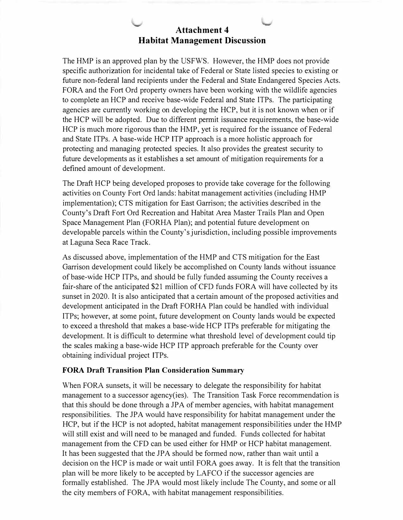

The HMP is an approved plan by the USFWS. However, the HMP does not provide specific authorization for incidental take of Federal or State listed species to existing or future non-federal land recipients under the Federal and State Endangered Species Acts. FORA and the Fort Ord property owners have been working with the wildlife agencies to complete an HCP and receive base-wide Federal and State ITPs. The participating agencies are currently working on developing the HCP, but it is not known when or if the HCP will be adopted. Due to different permit issuance requirements, the base-wide HCP is much more rigorous than the HMP, yet is required for the issuance of Federal and State ITPs. A base-wide HCP ITP approach is a more holistic approach for protecting and managing protected species. It also provides the greatest security to future developments as it establishes a set amount of mitigation requirements for a defined amount of development.

The Draft HCP being developed proposes to provide take coverage for the following activities on County Fort Ord lands: habitat management activities (including HMP implementation); CTS mitigation for East Garrison; the activities described in the County's Draft Fort Ord Recreation and Habitat Area Master Trails Plan and Open Space Management Plan (FORHA Plan); and potential future development on developable parcels within the County's jurisdiction, including possible improvements at Laguna Seca Race Track.

As discussed above, implementation of the HMP and CTS mitigation for the East Garrison development could likely be accomplished on County lands without issuance of base-wide HCP ITPs, and should be fully funded assuming the County receives a fair-share of the anticipated \$21 million of CFO funds FORA will have collected by its sunset in 2020. It is also anticipated that a certain amount of the proposed activities and development anticipated in the Draft FORHA Plan could be handled with individual ITPs; however, at some point, future development on County lands would be expected to exceed a threshold that makes a base-wide HCP ITPs preferable for mitigating the development. It is difficult to determine what threshold level of development could tip the scales making a base-wide HCP ITP approach preferable for the County over obtaining individual project ITPs.

#### **FORA Draft Transition Plan Consideration Summary**

When FORA sunsets, it will be necessary to delegate the responsibility for habitat management to a successor agency(ies). The Transition Task Force recommendation is that this should be done through a JPA of member agencies, with habitat management responsibilities. The JPA would have responsibility for habitat management under the HCP, but if the HCP is not adopted, habitat management responsibilities under the HMP will still exist and will need to be managed and funded. Funds collected for habitat management from the CFD can be used either for HMP or HCP habitat management. It has been suggested that the JPA should be formed now, rather than wait until a decision on the HCP is made or wait until FORA goes away. It is felt that the transition plan will be more likely to be accepted by LAFCO if the successor agencies are formally established. The JPA would most likely include The County, and some or all the city members of FORA, with habitat management responsibilities.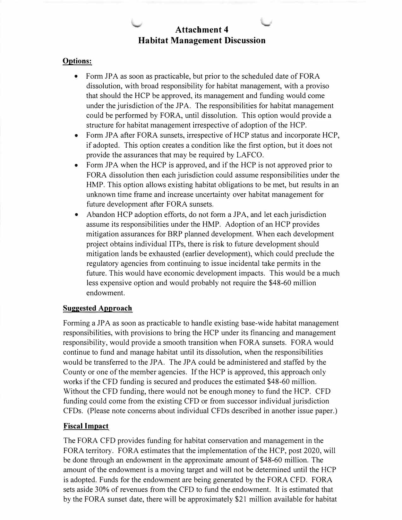## **Attachment 4 Habitat Management Discussion**

#### **Options:**

- Form JPA as soon as practicable, but prior to the scheduled date of FORA dissolution, with broad responsibility for habitat management, with a proviso that should the HCP be approved, its management and funding would come under the jurisdiction of the JPA. The responsibilities for habitat management could be performed by FORA, until dissolution. This option would provide a structure for habitat management irrespective of adoption of the HCP.
- Form JPA after FORA sunsets, irrespective of HCP status and incorporate HCP, if adopted. This option creates a condition like the first option, but it does not provide the assurances that may be required by LAFCO.
- Form JPA when the HCP is approved, and if the HCP is not approved prior to FORA dissolution then each jurisdiction could assume responsibilities under the HMP. This option allows existing habitat obligations to be met, but results in an unknown time frame and increase uncertainty over habitat management for future development after FORA sunsets.
- Abandon HCP adoption efforts, do not form a JPA, and let each jurisdiction assume its responsibilities under the HMP. Adoption of an HCP provides mitigation assurances for BRP planned development. When each development project obtains individual ITPs, there is risk to future development should mitigation lands be exhausted (earlier development), which could preclude the regulatory agencies from continuing to issue incidental take permits in the future. This would have economic development impacts. This would be a much less expensive option and would probably not require the \$48-60 million endowment.

#### **Suggested Approach**

Forming a JPA as soon as practicable to handle existing base-wide habitat management responsibilities, with provisions to bring the HCP under its financing and management responsibility, would provide a smooth transition when FORA sunsets. FORA would continue to fund and manage habitat until its dissolution, when the responsibilities would be transferred to the JPA. The JPA could be administered and staffed by the County or one of the member agencies. If the HCP is approved, this approach only works if the CFD funding is secured and produces the estimated \$48-60 million. Without the CFD funding, there would not be enough money to fund the HCP. CFD funding could come from the existing CFD or from successor individual jurisdiction CFDs. (Please note concerns about individual CFDs described in another issue paper.)

#### **Fiscal Impact**

The FORA CFD provides funding for habitat conservation and management in the FORA territory. FORA estimates that the implementation of the HCP, post 2020, will be done through an endowment in the approximate amount of \$48-60 million. The amount of the endowment is a moving target and will not be determined until the HCP is adopted. Funds for the endowment are being generated by the FORA CFD. FORA sets aside 30% of revenues from the CFD to fund the endowment. It is estimated that by the FORA sunset date, there will be approximately \$21 million available for habitat